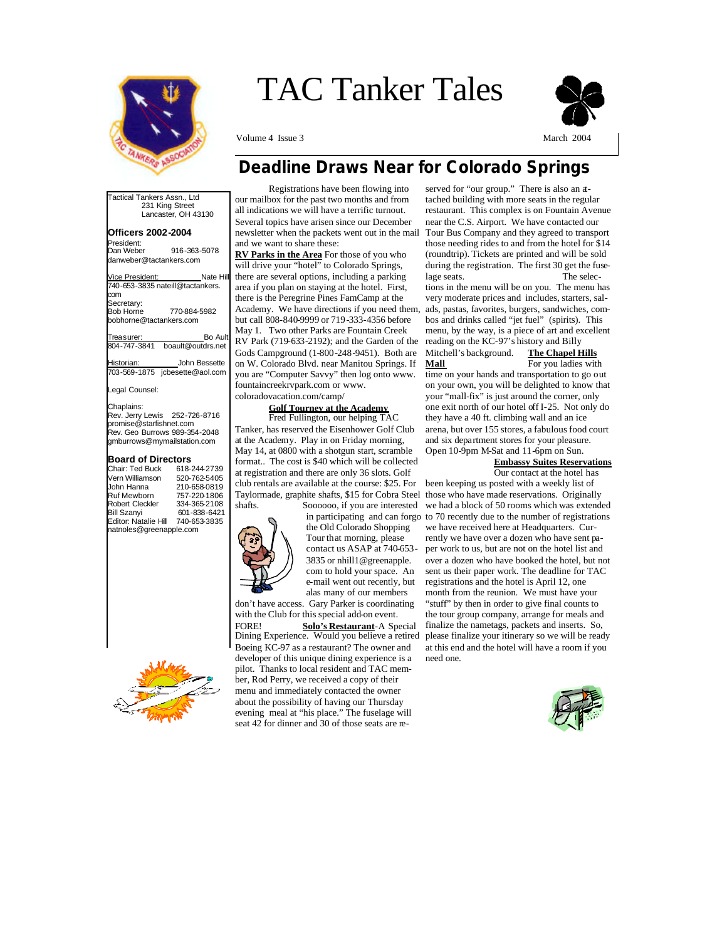

# TAC Tanker Tales

Volume 4 Issue 3 March 2004



### *Deadline Draws Near for Colorado Springs*

Tactical Tankers Assn., Ltd 231 King Street Lancaster, OH 43130 **Officers 2002-2004**  President:<br>Dan Weber 916-363-5078 danweber@tactankers.com Vice President: Nate Hill 740-653-3835 nateill@tactankers. com Secretary:<br>Bob Horne Bob Horne 770-884-5982 bobhorne@tactankers.com Treasurer: Bo Ault Bo Ault Bo Ault Bo Ault Bo Ault Board Bo Ault Board Board Board Board Board Board Board Board Board Board Board Board Board Board Board Board Board Board Board Board Board Board Board Board Board Board B boault@outdrs.net Historian: \_\_\_\_\_\_\_\_\_\_John Bessette<br>703-569-1875 icbesette@aol.com

jcbesette@aol.com

#### Legal Counsel:

Chaplains:

Rev. Jerry Lewis 252-726-8716 promise@starfishnet.com Rev. Geo Burrows 989-354-2048 gmburrows@mymailstation.com

#### **Board of Directors**

| Chair: Ted Buck         | 618-244-2739 |  |
|-------------------------|--------------|--|
| Vern Williamson         | 520-762-5405 |  |
| John Hanna              | 210-658-0819 |  |
| <b>Ruf Mewborn</b>      | 757-220-1806 |  |
| <b>Robert Cleckler</b>  | 334-365-2108 |  |
| <b>Bill Szanyi</b>      | 601-838-6421 |  |
| Editor: Natalie Hill    | 740-653-3835 |  |
| natnoles@greenapple.com |              |  |

 Registrations have been flowing into our mailbox for the past two months and from all indications we will have a terrific turnout. Several topics have arisen since our December newsletter when the packets went out in the mail and we want to share these:

**RV Parks in the Area** For those of you who will drive your "hotel" to Colorado Springs, there are several options, including a parking area if you plan on staying at the hotel. First, there is the Peregrine Pines FamCamp at the Academy. We have directions if you need them, but call 808-840-9999 or 719-333-4356 before May 1. Two other Parks are Fountain Creek RV Park (719-633-2192); and the Garden of the Gods Campground (1-800-248-9451). Both are on W. Colorado Blvd. near Manitou Springs. If you are "Computer Savvy" then log onto www. fountaincreekrvpark.com or www. coloradovacation.com/camp/

#### **Golf Tourney at the Academy**

 Fred Fullington, our helping TAC Tanker, has reserved the Eisenhower Golf Club at the Academy. Play in on Friday morning, May 14, at 0800 with a shotgun start, scramble format.. The cost is \$40 which will be collected at registration and there are only 36 slots. Golf club rentals are available at the course: \$25. For Taylormade, graphite shafts, \$15 for Cobra Steel



the Old Colorado Shopping Tour that morning, please contact us ASAP at 740-653- 3835 or nhill1@greenapple. com to hold your space. An e-mail went out recently, but alas many of our members

don't have access. Gary Parker is coordinating with the Club for this special add-on event.

FORE! **Solo's Restaurant**-A Special Dining Experience. Would you believe a retired Boeing KC-97 as a restaurant? The owner and developer of this unique dining experience is a pilot. Thanks to local resident and TAC member, Rod Perry, we received a copy of their menu and immediately contacted the owner about the possibility of having our Thursday evening meal at "his place." The fuselage will seat 42 for dinner and 30 of those seats are re-

served for "our group." There is also an attached building with more seats in the regular restaurant. This complex is on Fountain Avenue near the C.S. Airport. We have contacted our Tour Bus Company and they agreed to transport those needing rides to and from the hotel for \$14 (roundtrip). Tickets are printed and will be sold during the registration. The first 30 get the fuselage seats. The selections in the menu will be on you. The menu has very moderate prices and includes, starters, salads, pastas, favorites, burgers, sandwiches, combos and drinks called "jet fuel" (spirits). This menu, by the way, is a piece of art and excellent reading on the KC-97's history and Billy Mitchell's background. The Chapel Hills<br>Mall For you ladies with

For you ladies with time on your hands and transportation to go out on your own, you will be delighted to know that your "mall-fix" is just around the corner, only one exit north of our hotel off I-25. Not only do they have a 40 ft. climbing wall and an ice arena, but over 155 stores, a fabulous food court and six department stores for your pleasure. Open 10-9pm M-Sat and 11-6pm on Sun.

### **Embassy Suites Reservations**

shafts. Soooooo, if you are interested we had a block of 50 rooms which was extended in participating and can forgo to 70 recently due to the number of registrations Our contact at the hotel has been keeping us posted with a weekly list of those who have made reservations. Originally we have received here at Headquarters. Currently we have over a dozen who have sent paper work to us, but are not on the hotel list and over a dozen who have booked the hotel, but not sent us their paper work. The deadline for TAC registrations and the hotel is April 12, one month from the reunion. We must have your "stuff" by then in order to give final counts to the tour group company, arrange for meals and finalize the nametags, packets and inserts. So, please finalize your itinerary so we will be ready at this end and the hotel will have a room if you need one.

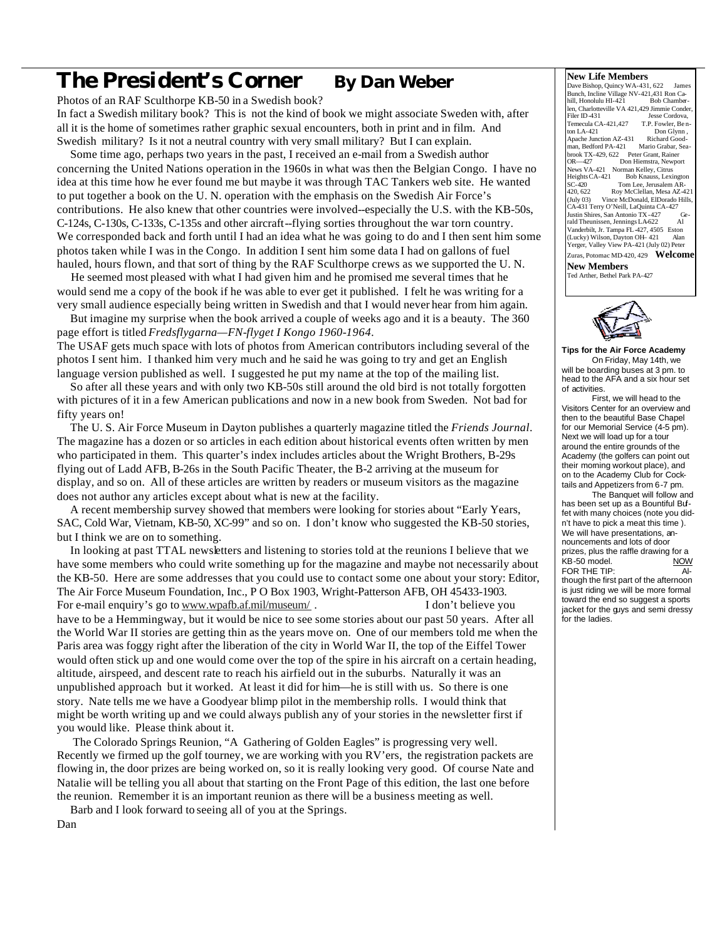## **The President's Corner By Dan Weber**

Photos of an RAF Sculthorpe KB-50 in a Swedish book? In fact a Swedish military book? This is not the kind of book we might associate Sweden with, after all it is the home of sometimes rather graphic sexual encounters, both in print and in film. And Swedish military? Is it not a neutral country with very small military? But I can explain.

 Some time ago, perhaps two years in the past, I received an e-mail from a Swedish author concerning the United Nations operation in the 1960s in what was then the Belgian Congo. I have no idea at this time how he ever found me but maybe it was through TAC Tankers web site. He wanted to put together a book on the U. N. operation with the emphasis on the Swedish Air Force's contributions. He also knew that other countries were involved--especially the U.S. with the KB-50s, C-124s, C-130s, C-133s, C-135s and other aircraft--flying sorties throughout the war torn country. We corresponded back and forth until I had an idea what he was going to do and I then sent him some photos taken while I was in the Congo. In addition I sent him some data I had on gallons of fuel hauled, hours flown, and that sort of thing by the RAF Sculthorpe crews as we supported the U. N.

 He seemed most pleased with what I had given him and he promised me several times that he would send me a copy of the book if he was able to ever get it published. I felt he was writing for a very small audience especially being written in Swedish and that I would never hear from him again.

 But imagine my surprise when the book arrived a couple of weeks ago and it is a beauty. The 360 page effort is titled *Fredsflygarna—FN-flyget I Kongo 1960-1964.*

The USAF gets much space with lots of photos from American contributors including several of the photos I sent him. I thanked him very much and he said he was going to try and get an English language version published as well. I suggested he put my name at the top of the mailing list.

 So after all these years and with only two KB-50s still around the old bird is not totally forgotten with pictures of it in a few American publications and now in a new book from Sweden. Not bad for fifty years on!

 The U. S. Air Force Museum in Dayton publishes a quarterly magazine titled the *Friends Journal*. The magazine has a dozen or so articles in each edition about historical events often written by men who participated in them. This quarter's index includes articles about the Wright Brothers, B-29s flying out of Ladd AFB, B-26s in the South Pacific Theater, the B-2 arriving at the museum for display, and so on. All of these articles are written by readers or museum visitors as the magazine does not author any articles except about what is new at the facility.

 A recent membership survey showed that members were looking for stories about "Early Years, SAC, Cold War, Vietnam, KB-50, XC-99" and so on. I don't know who suggested the KB-50 stories, but I think we are on to something.

 In looking at past TTAL newsletters and listening to stories told at the reunions I believe that we have some members who could write something up for the magazine and maybe not necessarily about the KB-50. Here are some addresses that you could use to contact some one about your story: Editor, The Air Force Museum Foundation, Inc., P O Box 1903, Wright-Patterson AFB, OH 45433-1903. For e-mail enquiry's go to www.wpafb.af.mil/museum/. I don't believe you have to be a Hemmingway, but it would be nice to see some stories about our past 50 years. After all the World War II stories are getting thin as the years move on. One of our members told me when the

Paris area was foggy right after the liberation of the city in World War II, the top of the Eiffel Tower would often stick up and one would come over the top of the spire in his aircraft on a certain heading, altitude, airspeed, and descent rate to reach his airfield out in the suburbs. Naturally it was an unpublished approach but it worked. At least it did for him—he is still with us. So there is one story. Nate tells me we have a Goodyear blimp pilot in the membership rolls. I would think that might be worth writing up and we could always publish any of your stories in the newsletter first if you would like. Please think about it.

 The Colorado Springs Reunion, "A Gathering of Golden Eagles" is progressing very well. Recently we firmed up the golf tourney, we are working with you RV'ers, the registration packets are flowing in, the door prizes are being worked on, so it is really looking very good. Of course Nate and Natalie will be telling you all about that starting on the Front Page of this edition, the last one before the reunion. Remember it is an important reunion as there will be a business meeting as well.

Barb and I look forward to seeing all of you at the Springs.

Dan

#### **New Life Members**

Dave Bishop, Quincy WA-431, 622 James Bunch, Incline Village NV-421,431 Ron Ca-hill, Honolulu HI-421 Bob Chamberlen, Charlotteville VA 421,429 Jimmie Conder<br>Filer ID 431 Jesse Cordova. Jesse Cordova,<br>T.P. Fowler. Ben-Temecula CA-421,427<br>ton LA-421 Don Glynn<br>Richard Good-Apache Junction AZ-431<br>man, Bedford PA-421 Mario Grabar, Sea brook TX-429, 622 Peter Grant, Rainer<br>
DR—427 Don Hiemstra Newno Don Hiemstra, Newport SA<br>News VA-421 Norman Kelley, Citrus<br>Heights CA-421 Bob Knauss, Lexi Heights CA-421 Bob Knauss, Lexington<br>SC-420 Tom Lee, Jerusalem AR-<br>420, 622 Roy McClellan, Mesa AZ-42 SC-420 Tom Lee, Jerusalem AR-420, 622 Roy McClellan, Mesa AZ-421 (July 03) Vince McDonald, ElDorado Hills, CA-431 Terry O'Neill, LaQuinta CA-427 Vustin Shires, San Antonio TX -427 Ge-<br>
Fald Theunissen, Jennings LA-622 Al rald Theunissen, Jennings LA-622 Vanderbilt, Jr. Tampa FL-427, 4505 Eston (Lucky) Wilson, Dayton OH- 421 Yerger, Valley View PA-421 (July 02) Peter Zuras, Potomac MD-420, 429 **Welcome New Members** 

Ted Arther, Bethel Park PA-427



**Tips for the Air Force Academy** On Friday, May 14th, we will be boarding buses at 3 pm. to head to the AFA and a six hour set of activities.

 First, we will head to the Visitors Center for an overview and then to the beautiful Base Chapel for our Memorial Service (4-5 pm). Next we will load up for a tour around the entire grounds of the Academy (the golfers can point out their morning workout place), and on to the Academy Club for Cocktails and Appetizers from 6-7 pm.

 The Banquet will follow and has been set up as a Bountiful Buffet with many choices (note you didn't have to pick a meat this time ). We will have presentations, announcements and lots of door prizes, plus the raffle drawing for a KB-50 model. NOW FOR THE TIP: Although the first part of the afternoon is just riding we will be more formal toward the end so suggest a sports jacket for the guys and semi dressy for the ladies.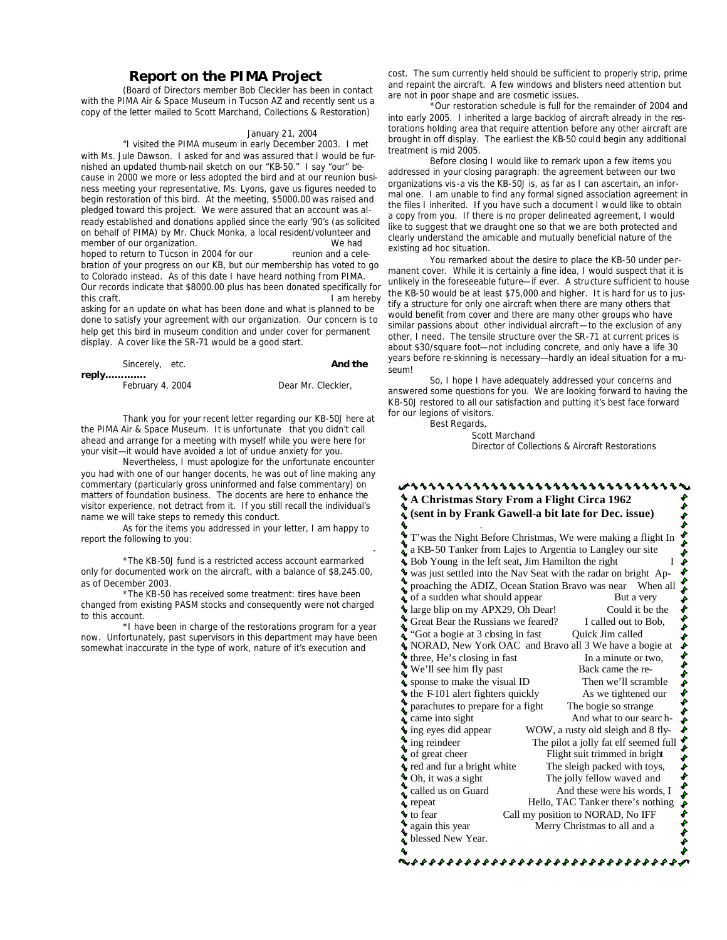#### **Report on the PIMA Project**

*(Board of Directors member Bob Cleckler has been in contact with the PIMA Air & Space Museum in Tucson AZ and recently sent us a copy of the letter mailed to Scott Marchand, Collections & Restoration)*

#### January 21, 2004

"I visited the PIMA museum in early December 2003. I met

with Ms. Jule Dawson. I asked for and was assured that I would be furnished an updated thumb-nail sketch on our "KB-50." I say "our" because in 2000 we more or less adopted the bird and at our reunion business meeting your representative, Ms. Lyons, gave us figures needed to begin restoration of this bird. At the meeting, \$5000.00 was raised and pledged toward this project. We were assured that an account was already established and donations applied since the early '90's (as solicited on behalf of PIMA) by Mr. Chuck Monka, a local resident/volunteer and member of our organization.<br> **blue haddle hoped to return to Tucson in 2004 for our** *reunion and a cele*hoped to return to Tucson in 2004 for our bration of your progress on our KB, but our membership has voted to go to Colorado instead. As of this date I have heard nothing from PIMA. Our records indicate that \$8000.00 plus has been donated specifically for this craft. I am hereby asking for an update on what has been done and what is planned to be

done to satisfy your agreement with our organization. Our concern is to help get this bird in museum condition and under cover for permanent display. A cover like the SR-71 would be a good start.

| Sincerely, etc.  | And the            |
|------------------|--------------------|
| reply………….       |                    |
| February 4, 2004 | Dear Mr. Cleckler, |

 Thank you for your recent letter regarding our KB-50J here at the PIMA Air & Space Museum. It is unfortunatethat you didn't call ahead and arrange for a meeting with myself while you were here for your visit—it would have avoided a lot of undue anxiety for you.

 Nevertheless, I must apologize for the unfortunate encounter you had with one of our hanger docents, he was out of line making any commentary (particularly gross uninformed and false commentary) on matters of foundation business. The docents are here to enhance the visitor experience, not detract from it. If you still recall the individual's name we will take steps to remedy this conduct.

 As for the items you addressed in your letter, I am happy to report the following to you: and the contract of the contract of the contract of the contract of the contract of the contract of

 \*The KB-50J fund is a restricted access account earmarked only for documented work on the aircraft, with a balance of \$8,245.00, as of December 2003.

 \*The KB-50 has received some treatment: tires have been changed from existing PASM stocks and consequently were not charged to this account.

 \*I have been in charge of the restorations program for a year now. Unfortunately, past supervisors in this department may have been somewhat inaccurate in the type of work, nature of it's execution and

cost. The sum currently held should be sufficient to properly strip, prime and repaint the aircraft. A few windows and blisters need attention but are not in poor shape and are cosmetic issues.

Our restoration schedule is full for the remainder of 2004 and into early 2005. I inherited a large backlog of aircraft already in the restorations holding area that require attention before any other aircraft are brought in off display. The earliest the KB-50 could begin any additional treatment is mid 2005.

 Before closing I would like to remark upon a few items you addressed in your closing paragraph: the agreement between our two organizations vis-a vis the KB-50J is, as far as I can ascertain, an informal one. I am unable to find any formal signed association agreement in the files I inherited. If you have such a document I would like to obtain a copy from you. If there is no proper delineated agreement, I would like to suggest that we draught one so that we are both protected and clearly understand the amicable and mutually beneficial nature of the existing ad hoc situation.

 You remarked about the desire to place the KB-50 under permanent cover. While it is certainly a fine idea, I would suspect that it is unlikely in the foreseeable future—if ever. A structure sufficient to house the KB-50 would be at least \$75,000 and higher. It is hard for us to justify a structure for only one aircraft when there are many others that would benefit from cover and there are many other groups who have similar passions about other individual aircraft—to the exclusion of any other, I need. The tensile structure over the SR-71 at current prices is about \$30/square foot—not including concrete, and only have a life 30 years before re-skinning is necessary—hardly an ideal situation for a museum!

 So, I hope I have adequately addressed your concerns and answered some questions for you. We are looking forward to having the KB-50J restored to all our satisfaction and putting it's best face forward for our legions of visitors.

Best Regards,

 Scott Marchand Director of Collections & Aircraft Restorations

#### ,,,,,,,,,,,,,,,,,,,,,,,,,,,,,, **A Christmas Story From a Flight Circa 1962 (sent in by Frank Gawell-a bit late for Dec. issue)**  \$ . ۹ ++++++++++++++++++++++ T'was the Night Before Christmas, We were making a flight In a KB-50 Tanker from Lajes to Argentia to Langley our site  $\triangle$  Bob Young in the left seat, Jim Hamilton the right I was just settled into the Nav Seat with the radar on bright Approaching the ADIZ, Ocean Station Bravo was near When all of a sudden what should appear But a very  $\bigcirc$  large blip on my APX29, Oh Dear! Could it be the Correct Bear the Russians we feared? I called out to Bob, Great Bear the Russians we feared? "Got a bogie at 3 cbsing in fast Quick Jim called NORAD, New York OAC and Bravo all 3 We have a bogie at  $\blacklozenge$  three, He's closing in fast In a minute or two, We'll see him fly past Back came the re- $\frac{1}{2}$  sponse to make the visual ID Then we'll scramble<br>  $\frac{1}{2}$  the F101 alert fighters quickly As we tightened our  $\bullet$  the F-101 alert fighters quickly parachutes to prepare for a fight The bogie so strange  $\bullet$  came into sight And what to our search  $\bullet$  ing eyes did appear WOW, a rusty old sleigh and 8 fly-WOW, a rusty old sleigh and 8 fly- $\bullet$ ing reindeer The pilot a jolly fat elf seemed full of great cheer Flight suit trimmed in bright \$\$\$\$\$ The sleight packed with toys,<br> **Oh**, it was a sight<br>
The jolly fellow waved and The jolly fellow waved and And these were his words, I<br>  $\triangle$  repeat Hello, TAC Tanker there's nothing Hello, TAC Tanker there's nothing to fear Call my position to NORAD, No IFF again this year Merry Christmas to all and a ł blessed New Year.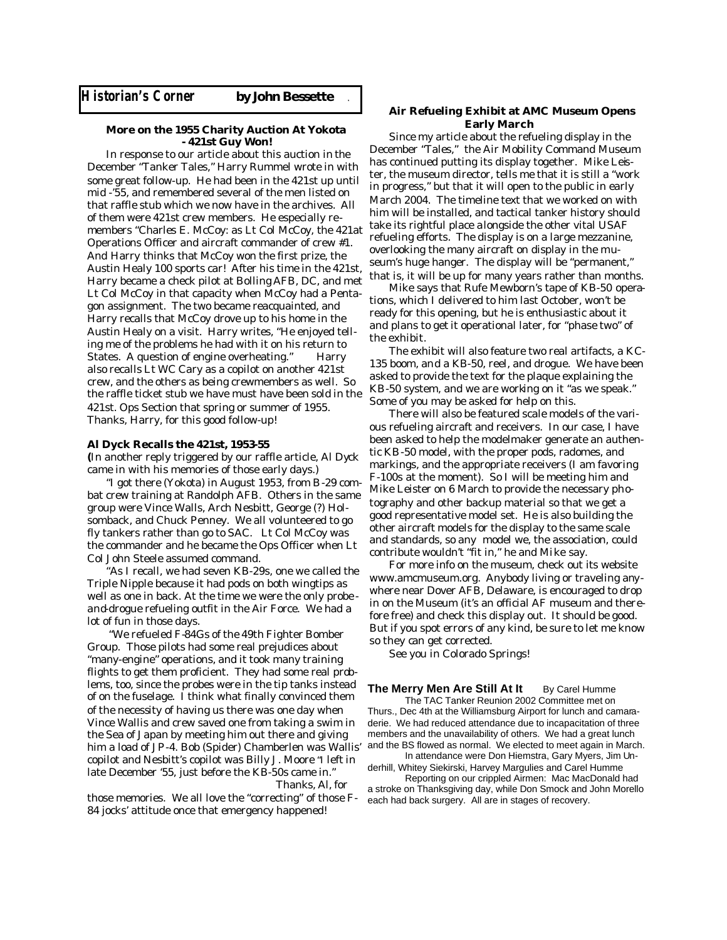#### **More on the 1955 Charity Auction At Yokota - 421st Guy Won!**

In response to our article about this auction in the December "Tanker Tales," Harry Rummel wrote in with some great follow-up. He had been in the 421st up until mid -'55, and remembered several of the men listed on that raffle stub which we now have in the archives. All of them were 421st crew members. He especially remembers "Charles E. McCoy: as Lt Col McCoy, the 421at Operations Officer and aircraft commander of crew #1. And Harry thinks that McCoy won the first prize, the Austin Healy 100 sports car! After his time in the 421st, Harry became a check pilot at Bolling AFB, DC, and met Lt Col McCoy in that capacity when McCoy had a Pentagon assignment. The two became reacquainted, and Harry recalls that McCoy drove up to his home in the Austin Healy on a visit. Harry writes, "He enjoyed telling me of the problems he had with it on his return to States. A question of engine overheating." Harry also recalls Lt WC Cary as a copilot on another 421st crew, and the others as being crewmembers as well. So the raffle ticket stub we have must have been sold in the 421st. Ops Section that spring or summer of 1955. Thanks, Harry, for this good follow-up!

#### **Al Dyck Recalls the 421st, 1953-55**

**(**In another reply triggered by our raffle article, Al Dyck came in with his memories of those early days.)

 "I got there (Yokota) in August 1953, from B-29 combat crew training at Randolph AFB. Others in the same group were Vince Walls, Arch Nesbitt, George (?) Holsomback, and Chuck Penney. We all volunteered to go fly tankers rather than go to SAC. Lt Col McCoy was the commander and he became the Ops Officer when Lt Col John Steele assumed command.

 "As I recall, we had seven KB-29s, one we called the Triple Nipple because it had pods on both wingtips as well as one in back. At the time we were the only probe and-drogue refueling outfit in the Air Force. We had a lot of fun in those days.

 "We refueled F-84Gs of the 49th Fighter Bomber Group. Those pilots had some real prejudices about "many-engine" operations, and it took many training flights to get them proficient. They had some real problems, too, since the probes were in the tip tanks instead of on the fuselage. I think what finally convinced them of the necessity of having us there was one day when Vince Wallis and crew saved one from taking a swim in the Sea of Japan by meeting him out there and giving him a load of JP-4. Bob (Spider) Chamberlen was Wallis' copilot and Nesbitt's copilot was Billy J. Moore "I left in late December '55, just before the KB-50s came in." Thanks, Al, for

those memories. We all love the "correcting" of those F-84 jocks' attitude once that emergency happened!

#### **Air Refueling Exhibit at AMC Museum Opens Early March**

Since my article about the refueling display in the December "Tales," the Air Mobility Command Museum has continued putting its display together. Mike Leister, the museum director, tells me that it is still a "work in progress," but that it will open to the public in early March 2004. The timeline text that we worked on with him will be installed, and tactical tanker history should take its rightful place alongside the other vital USAF refueling efforts. The display is on a large mezzanine, overlooking the many aircraft on display in the museum's huge hanger. The display will be "permanent," that is, it will be up for many years rather than months.

 Mike says that Rufe Mewborn's tape of KB-50 operations, which I delivered to him last October, won't be ready for this opening, but he is enthusiastic about it and plans to get it operational later, for "phase two" of the exhibit.

 The exhibit will also feature two real artifacts, a KC-135 boom, and a KB-50, reel, and drogue. We have been asked to provide the text for the plaque explaining the KB-50 system, and we are working on it "as we speak." Some of you may be asked for help on this.

 There will also be featured scale models of the various refueling aircraft and receivers. In our case, I have been asked to help the modelmaker generate an authentic KB-50 model, with the proper pods, radomes, and markings, and the appropriate receivers (I am favoring F-100s at the moment). So I will be meeting him and Mike Leister on 6 March to provide the necessary photography and other backup material so that we get a good representative model set. He is also building the other aircraft models for the display to the same scale and standards, so any model we, the association, could contribute wouldn't "fit in," he and Mike say.

 For more info on the museum, check out its website www.amcmuseum.org. Anybody living or traveling anywhere near Dover AFB, Delaware, is encouraged to drop in on the Museum (it's an official AF museum and therefore free) and check this display out. It should be good. But if you spot errors of any kind, be sure to let me know so they can get corrected.

See you in Colorado Springs!

**The Merry Men Are Still At It** By Carel Humme The TAC Tanker Reunion 2002 Committee met on Thurs., Dec 4th at the Williamsburg Airport for lunch and camaraderie. We had reduced attendance due to incapacitation of three members and the unavailability of others. We had a great lunch and the BS flowed as normal. We elected to meet again in March.

 In attendance were Don Hiemstra, Gary Myers, Jim Underhill, Whitey Siekirski, Harvey Margulies and Carel Humme

 Reporting on our crippled Airmen: Mac MacDonald had a stroke on Thanksgiving day, while Don Smock and John Morello each had back surgery. All are in stages of recovery.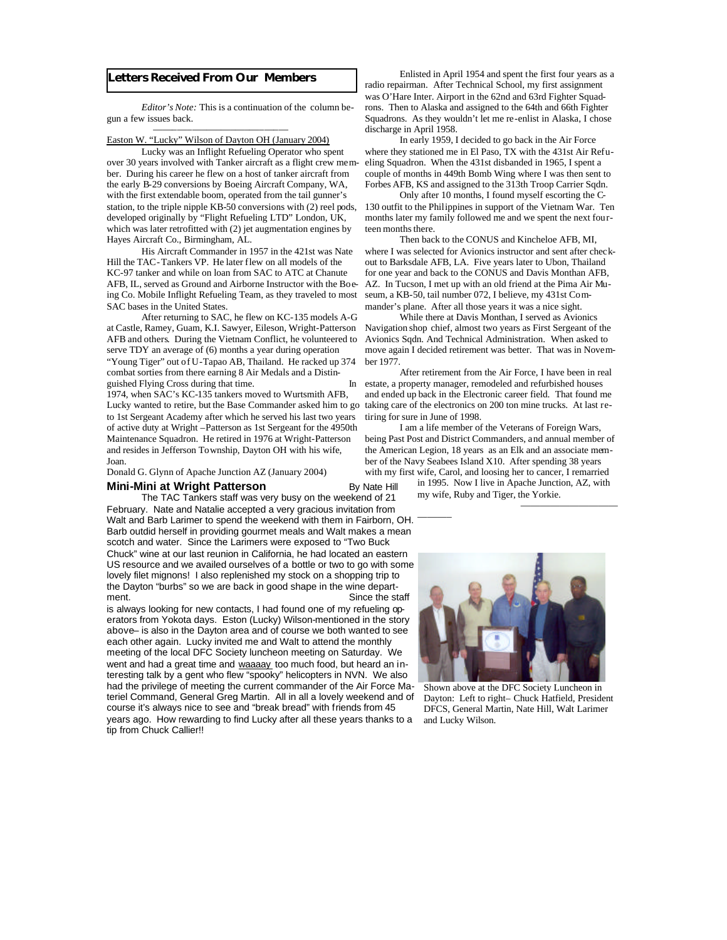#### **Letters Received From Our Members**

 *Editor's Note:* This is a continuation of the column begun a few issues back.

#### Easton W. "Lucky" Wilson of Dayton OH (January 2004)

——–—–—–—–—–—–—–—–—

 Lucky was an Inflight Refueling Operator who spent over 30 years involved with Tanker aircraft as a flight crew member. During his career he flew on a host of tanker aircraft from the early B-29 conversions by Boeing Aircraft Company, WA, with the first extendable boom, operated from the tail gunner's station, to the triple nipple KB-50 conversions with (2) reel pods, developed originally by "Flight Refueling LTD" London, UK, which was later retrofitted with (2) jet augmentation engines by Hayes Aircraft Co., Birmingham, AL.

 His Aircraft Commander in 1957 in the 421st was Nate Hill the TAC-Tankers VP. He later flew on all models of the KC-97 tanker and while on loan from SAC to ATC at Chanute AFB, IL, served as Ground and Airborne Instructor with the Boeing Co. Mobile Inflight Refueling Team, as they traveled to most SAC bases in the United States.

 After returning to SAC, he flew on KC-135 models A-G at Castle, Ramey, Guam, K.I. Sawyer, Eileson, Wright-Patterson AFB and others. During the Vietnam Conflict, he volunteered to serve TDY an average of (6) months a year during operation "Young Tiger" out of U-Tapao AB, Thailand. He racked up 374 combat sorties from there earning 8 Air Medals and a Distinguished Flying Cross during that time. In

1974, when SAC's KC-135 tankers moved to Wurtsmith AFB, Lucky wanted to retire, but the Base Commander asked him to go to 1st Sergeant Academy after which he served his last two years of active duty at Wright –Patterson as 1st Sergeant for the 4950th Maintenance Squadron. He retired in 1976 at Wright-Patterson and resides in Jefferson Township, Dayton OH with his wife, Joan.

Donald G. Glynn of Apache Junction AZ (January 2004)

#### **Mini-Mini at Wright Patterson** By Nate Hill

 The TAC Tankers staff was very busy on the weekend of 21 February. Nate and Natalie accepted a very gracious invitation from Walt and Barb Larimer to spend the weekend with them in Fairborn, OH. Barb outdid herself in providing gourmet meals and Walt makes a mean scotch and water. Since the Larimers were exposed to "Two Buck Chuck" wine at our last reunion in California, he had located an eastern US resource and we availed ourselves of a bottle or two to go with some lovely filet mignons! I also replenished my stock on a shopping trip to the Dayton "burbs" so we are back in good shape in the wine department. Since the staff

is always looking for new contacts, I had found one of my refueling operators from Yokota days. Eston (Lucky) Wilson-mentioned in the story above– is also in the Dayton area and of course we both wanted to see each other again. Lucky invited me and Walt to attend the monthly meeting of the local DFC Society luncheon meeting on Saturday. We went and had a great time and waaaay too much food, but heard an interesting talk by a gent who flew "spooky" helicopters in NVN. We also had the privilege of meeting the current commander of the Air Force Materiel Command, General Greg Martin. All in all a lovely weekend and of course it's always nice to see and "break bread" with friends from 45 years ago. How rewarding to find Lucky after all these years thanks to a tip from Chuck Callier!!

 Enlisted in April 1954 and spent the first four years as a radio repairman. After Technical School, my first assignment was O'Hare Inter. Airport in the 62nd and 63rd Fighter Squadrons. Then to Alaska and assigned to the 64th and 66th Fighter Squadrons. As they wouldn't let me re-enlist in Alaska, I chose discharge in April 1958.

 In early 1959, I decided to go back in the Air Force where they stationed me in El Paso, TX with the 431st Air Refueling Squadron. When the 431st disbanded in 1965, I spent a couple of months in 449th Bomb Wing where I was then sent to Forbes AFB, KS and assigned to the 313th Troop Carrier Sqdn.

 Only after 10 months, I found myself escorting the C-130 outfit to the Philippines in support of the Vietnam War. Ten months later my family followed me and we spent the next fourteen months there.

 Then back to the CONUS and Kincheloe AFB, MI, where I was selected for Avionics instructor and sent after checkout to Barksdale AFB, LA. Five years later to Ubon, Thailand for one year and back to the CONUS and Davis Monthan AFB, AZ. In Tucson, I met up with an old friend at the Pima Air Museum, a KB-50, tail number 072, I believe, my 431st Commander's plane. After all those years it was a nice sight.

 While there at Davis Monthan, I served as Avionics Navigation shop chief, almost two years as First Sergeant of the Avionics Sqdn. And Technical Administration. When asked to move again I decided retirement was better. That was in November 1977.

 After retirement from the Air Force, I have been in real estate, a property manager, remodeled and refurbished houses and ended up back in the Electronic career field. That found me taking care of the electronics on 200 ton mine trucks. At last retiring for sure in June of 1998.

 I am a life member of the Veterans of Foreign Wars, being Past Post and District Commanders, and annual member of the American Legion, 18 years as an Elk and an associate member of the Navy Seabees Island X10. After spending 38 years with my first wife, Carol, and loosing her to cancer, I remarried

———–

in 1995. Now I live in Apache Junction, AZ, with my wife, Ruby and Tiger, the Yorkie.

——————————



Shown above at the DFC Society Luncheon in Dayton: Left to right– Chuck Hatfield, President DFCS, General Martin, Nate Hill, Walt Larimer and Lucky Wilson.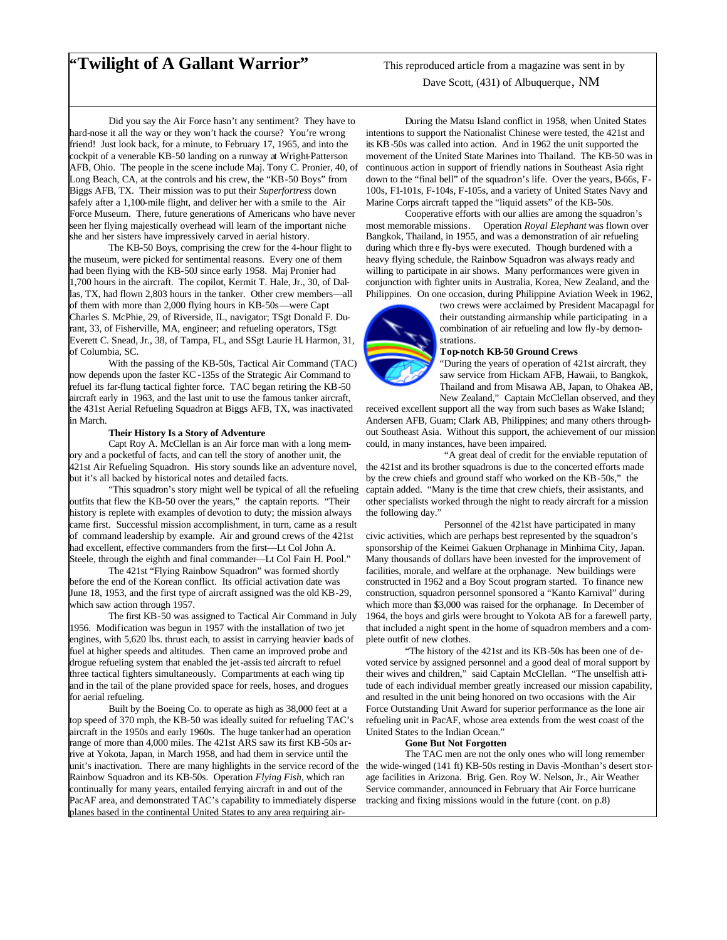### **"Twilight of A Gallant Warrior"** This reproduced article from a magazine was sent in by

Dave Scott, (431) of Albuquerque, NM

 Did you say the Air Force hasn't any sentiment? They have to hard-nose it all the way or they won't hack the course? You're wrong friend! Just look back, for a minute, to February 17, 1965, and into the cockpit of a venerable KB-50 landing on a runway at Wright-Patterson AFB, Ohio. The people in the scene include Maj. Tony C. Pronier, 40, of Long Beach, CA, at the controls and his crew, the "KB-50 Boys" from Biggs AFB, TX. Their mission was to put their *Superfortress* down safely after a 1,100-mile flight, and deliver her with a smile to the Air Force Museum. There, future generations of Americans who have never seen her flying majestically overhead will learn of the important niche she and her sisters have impressively carved in aerial history.

 The KB-50 Boys, comprising the crew for the 4-hour flight to the museum, were picked for sentimental reasons. Every one of them had been flying with the KB-50J since early 1958. Maj Pronier had 1,700 hours in the aircraft. The copilot, Kermit T. Hale, Jr., 30, of Dallas, TX, had flown 2,803 hours in the tanker. Other crew members—all of them with more than 2,000 flying hours in KB-50s—were Capt Charles S. McPhie, 29, of Riverside, IL, navigator; TSgt Donald F. Durant, 33, of Fisherville, MA, engineer; and refueling operators, TSgt Everett C. Snead, Jr., 38, of Tampa, FL, and SSgt Laurie H. Harmon, 31, of Columbia, SC.

 With the passing of the KB-50s, Tactical Air Command (TAC) now depends upon the faster KC-135s of the Strategic Air Command to refuel its far-flung tactical fighter force. TAC began retiring the KB-50 aircraft early in 1963, and the last unit to use the famous tanker aircraft, the 431st Aerial Refueling Squadron at Biggs AFB, TX, was inactivated in March.

#### **Their History Is a Story of Adventure**

 Capt Roy A. McClellan is an Air force man with a long memory and a pocketful of facts, and can tell the story of another unit, the 421st Air Refueling Squadron. His story sounds like an adventure novel, but it's all backed by historical notes and detailed facts.

 "This squadron's story might well be typical of all the refueling outfits that flew the KB-50 over the years," the captain reports. "Their history is replete with examples of devotion to duty; the mission always came first. Successful mission accomplishment, in turn, came as a result of command leadership by example. Air and ground crews of the 421st had excellent, effective commanders from the first—Lt Col John A. Steele, through the eighth and final commander—Lt Col Fain H. Pool."

 The 421st "Flying Rainbow Squadron" was formed shortly before the end of the Korean conflict. Its official activation date was June 18, 1953, and the first type of aircraft assigned was the old KB-29, which saw action through 1957.

 The first KB-50 was assigned to Tactical Air Command in July 1956. Modification was begun in 1957 with the installation of two jet engines, with 5,620 lbs. thrust each, to assist in carrying heavier loads of fuel at higher speeds and altitudes. Then came an improved probe and drogue refueling system that enabled the jet-assisted aircraft to refuel three tactical fighters simultaneously. Compartments at each wing tip and in the tail of the plane provided space for reels, hoses, and drogues for aerial refueling.

 Built by the Boeing Co. to operate as high as 38,000 feet at a top speed of 370 mph, the KB-50 was ideally suited for refueling TAC's aircraft in the 1950s and early 1960s. The huge tanker had an operation range of more than 4,000 miles. The 421st ARS saw its first KB-50s arrive at Yokota, Japan, in March 1958, and had them in service until the unit's inactivation. There are many highlights in the service record of the the wide-winged (141 ft) KB-50s resting in Davis-Monthan's desert stor-Rainbow Squadron and its KB-50s. Operation *Flying Fish,* which ran continually for many years, entailed ferrying aircraft in and out of the PacAF area, and demonstrated TAC's capability to immediately disperse planes based in the continental United States to any area requiring air-

 During the Matsu Island conflict in 1958, when United States intentions to support the Nationalist Chinese were tested, the 421st and its KB-50s was called into action. And in 1962 the unit supported the movement of the United State Marines into Thailand. The KB-50 was in continuous action in support of friendly nations in Southeast Asia right down to the "final bell" of the squadron's life. Over the years, B-66s, F-100s, F1-101s, F-104s, F-105s, and a variety of United States Navy and Marine Corps aircraft tapped the "liquid assets" of the KB-50s.

 Cooperative efforts with our allies are among the squadron's most memorable missions. Operation *Royal Elephant* was flown over Bangkok, Thailand, in 1955, and was a demonstration of air refueling during which thre e fly-bys were executed. Though burdened with a heavy flying schedule, the Rainbow Squadron was always ready and willing to participate in air shows. Many performances were given in conjunction with fighter units in Australia, Korea, New Zealand, and the Philippines. On one occasion, during Philippine Aviation Week in 1962,



two crews were acclaimed by President Macapagal for their outstanding airmanship while participating in a combination of air refueling and low fly-by demonstrations.

#### **Top-notch KB-50 Ground Crews**

"During the years of operation of 421st aircraft, they saw service from Hickam AFB, Hawaii, to Bangkok, Thailand and from Misawa AB, Japan, to Ohakea AB, New Zealand," Captain McClellan observed, and they

received excellent support all the way from such bases as Wake Island; Andersen AFB, Guam; Clark AB, Philippines; and many others throughout Southeast Asia. Without this support, the achievement of our mission could, in many instances, have been impaired.

 "A great deal of credit for the enviable reputation of the 421st and its brother squadrons is due to the concerted efforts made by the crew chiefs and ground staff who worked on the KB-50s," the captain added. "Many is the time that crew chiefs, their assistants, and other specialists worked through the night to ready aircraft for a mission the following day."

 Personnel of the 421st have participated in many civic activities, which are perhaps best represented by the squadron's sponsorship of the Keimei Gakuen Orphanage in Minhima City, Japan. Many thousands of dollars have been invested for the improvement of facilities, morale, and welfare at the orphanage. New buildings were constructed in 1962 and a Boy Scout program started. To finance new construction, squadron personnel sponsored a "Kanto Karnival" during which more than \$3,000 was raised for the orphanage. In December of 1964, the boys and girls were brought to Yokota AB for a farewell party, that included a night spent in the home of squadron members and a complete outfit of new clothes.

 "The history of the 421st and its KB-50s has been one of devoted service by assigned personnel and a good deal of moral support by their wives and children," said Captain McClellan. "The unselfish attitude of each individual member greatly increased our mission capability, and resulted in the unit being honored on two occasions with the Air Force Outstanding Unit Award for superior performance as the lone air refueling unit in PacAF, whose area extends from the west coast of the United States to the Indian Ocean."

#### **Gone But Not Forgotten**

The TAC men are not the only ones who will long remember age facilities in Arizona. Brig. Gen. Roy W. Nelson, Jr., Air Weather Service commander, announced in February that Air Force hurricane tracking and fixing missions would in the future (cont. on p.8)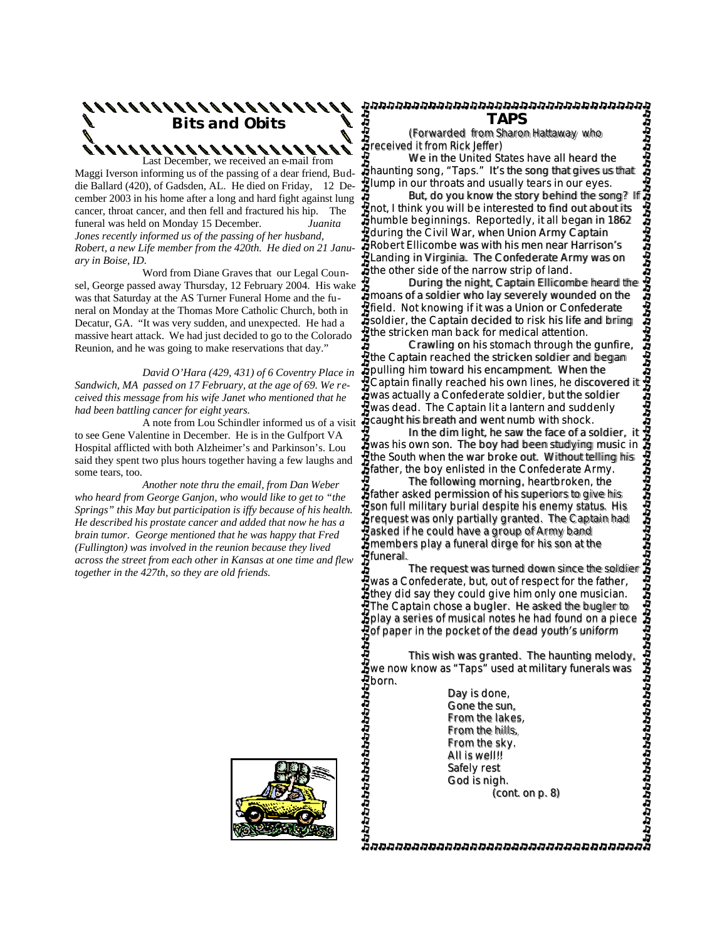## **Bits and Obits**  $888888888888888888$ Last December, we received an e-mail from

Maggi Iverson informing us of the passing of a dear friend, Buddie Ballard (420), of Gadsden, AL. He died on Friday, 12 December 2003 in his home after a long and hard fight against lung cancer, throat cancer, and then fell and fractured his hip. The funeral was held on Monday 15 December. *Juanita Jones recently informed us of the passing of her husband, Robert, a new Life member from the 420th. He died on 21 January in Boise, ID.*

Word from Diane Graves that our Legal Counsel, George passed away Thursday, 12 February 2004. His wake  $\sharp$ was that Saturday at the AS Turner Funeral Home and the funeral on Monday at the Thomas More Catholic Church, both in Decatur, GA. "It was very sudden, and unexpected. He had a massive heart attack. We had just decided to go to the Colorado Reunion, and he was going to make reservations that day."

 *David O'Hara (429, 431) of 6 Coventry Place in Sandwich, MA passed on 17 February, at the age of 69. We received this message from his wife Janet who mentioned that he had been battling cancer for eight years.* 

A note from Lou Schindler informed us of a visit to see Gene Valentine in December. He is in the Gulfport VA Hospital afflicted with both Alzheimer's and Parkinson's. Lou said they spent two plus hours together having a few laughs and some tears, too.

 *Another note thru the email, from Dan Weber who heard from George Ganjon, who would like to get to "the Springs" this May but participation is iffy because of his health. He described his prostate cancer and added that now he has a brain tumor. George mentioned that he was happy that Fred (Fullington) was involved in the reunion because they lived across the street from each other in Kansas at one time and flew together in the 427th, so they are old friends.*

**TAPS** 

 *(Forwarded from Sharon Hattaway who received it from Rick Jeffer)* 

 We in the United States have all heard the haunting song, "Taps." It's the song that gives us that Plump in our throats and usually tears in our eyes.<br>But, do you know the story behind the song? If

 But, do you know the story behind the song? If not, I think you will be interested to find out about its humble beginnings. Reportedly, it all began in 1862 during the Civil War, when Union Army Captain Robert Ellicombe was with his men near Harrison's Landing in Virginia. The Confederate Army was on the other side of the narrow strip of land. (Forwarded from RIAFS)<br>
This wish the night of the night of the form and the diffeon scheme of the night of the field our throats and usually tears in our eyes. The song that gives us the song that gives use that  $\frac{1}{2}$ 

moans of a soldier who lay severely wounded on the field. Not knowing if it was a Union or Confederate soldier, the Captain decided to risk his life and bring the stricken man back for medical attention.

 Crawling on his stomach through the gunfire, the Captain reached the stricken soldier and began pulling him toward his encampment. When the Captain finally reached his own lines, he discovered it was actually a Confederate soldier, but the soldier was dead. The Captain lit a lantern and suddenly caught his breath and went numb with shock.

 In the dim light, he saw the face of a soldier, it  $\ddot{\textbf{j}}$  and the climate measurement is a solution of the boy had been studying music in the South when the war broke out. Without telling his Fine South when the war broke out. Without telling<br>Father, the boy enlisted in the Confederate Army.

 The following morning, heartbroken, the father asked permission of his superiors to give his son full military burial despite his enemy status. His request was only partially granted. The Captain had asked if he could have a group of Army band members play a funeral dirge for his son at the **Z**funeral.

 The request was turned down since the soldier was a Confederate, but, out of respect for the father, they did say they could give him only one musician. The Captain chose a bugler. He asked the bugler to play a series of musical notes he had found on a piece Pof paper in the pocket of the dead youth's uniform

 This wish was granted. The haunting melody, we now know as "Taps" used at military funerals was born.

 Day is done, Gone the sun, From the lakes, From the hills, From the sky. All is well!! Safely rest God is nigh. (cont. on p. 8)